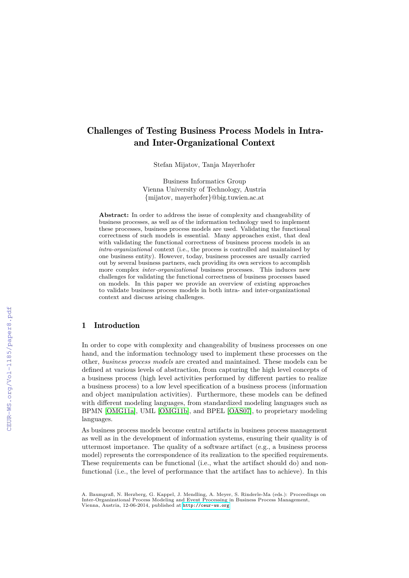# Challenges of Testing Business Process Models in Intraand Inter-Organizational Context

Stefan Mijatov, Tanja Mayerhofer

Business Informatics Group Vienna University of Technology, Austria {mijatov, mayerhofer}@big.tuwien.ac.at

**Abstract:** In order to address the issue of complexity and changeability of business processes, as well as of the information technology used to implement these processes, business process models are used. Validating the functional correctness of such models is essential. Many approaches exist, that deal with validating the functional correctness of business process models in an *intra-organizational* context (i.e., the process is controlled and maintained by one business entity). However, today, business processes are usually carried out by several business partners, each providing its own services to accomplish more complex *inter-organizational* business processes. This induces new challenges for validating the functional correctness of business processes based on models. In this paper we provide an overview of existing approaches to validate business process models in both intra- and inter-organizational context and discuss arising challenges.

#### 1 Introduction

In order to cope with complexity and changeability of business processes on one hand, and the information technology used to implement these processes on the other, *business process models* are created and maintained. These models can be defined at various levels of abstraction, from capturing the high level concepts of a business process (high level activities performed by different parties to realize a business process) to a low level specification of a business process (information and object manipulation activities). Furthermore, these models can be defined with different modeling languages, from standardized modeling languages such as BPMN [\[OMG11a\]](#page--1-0), UML [\[OMG11b\]](#page--1-1), and BPEL [\[OAS07\]](#page--1-2), to proprietary modeling languages.

As business process models become central artifacts in business process management as well as in the development of information systems, ensuring their quality is of uttermost importance. The quality of a software artifact (e.g., a business process model) represents the correspondence of its realization to the specified requirements. These requirements can be functional (i.e., what the artifact should do) and nonfunctional (i.e., the level of performance that the artifact has to achieve). In this

A. Baumgraß, N. Herzberg, G. Kappel, J. Mendling, A. Meyer, S. Rinderle-Ma (eds.): Proceedings on Inter-Organizational Process Modeling and Event Processing in Business Process Management, Vienna, Austria, 12-06-2014, published at <http://ceur-ws.org>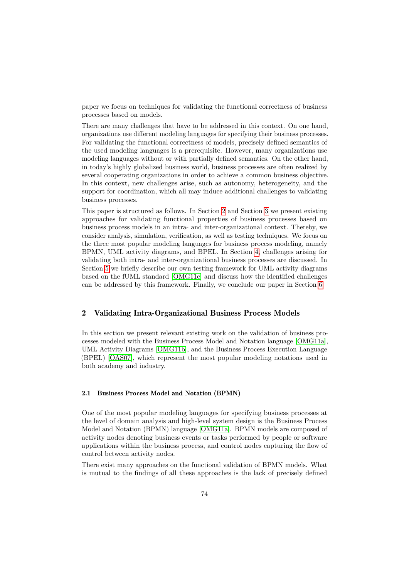paper we focus on techniques for validating the functional correctness of business processes based on models.

There are many challenges that have to be addressed in this context. On one hand, organizations use different modeling languages for specifying their business processes. For validating the functional correctness of models, precisely defined semantics of the used modeling languages is a prerequisite. However, many organizations use modeling languages without or with partially defined semantics. On the other hand, in today's highly globalized business world, business processes are often realized by several cooperating organizations in order to achieve a common business objective. In this context, new challenges arise, such as autonomy, heterogeneity, and the support for coordination, which all may induce additional challenges to validating business processes.

This paper is structured as follows. In Section [2](#page-1-0) and Section [3](#page-4-0) we present existing approaches for validating functional properties of business processes based on business process models in an intra- and inter-organizational context. Thereby, we consider analysis, simulation, verification, as well as testing techniques. We focus on the three most popular modeling languages for business process modeling, namely BPMN, UML activity diagrams, and BPEL. In Section [4,](#page-7-0) challenges arising for validating both intra- and inter-organizational business processes are discussed. In Section [5](#page-8-0) we briefly describe our own testing framework for UML activity diagrams based on the fUML standard [\[OMG11c\]](#page-12-0) and discuss how the identified challenges can be addressed by this framework. Finally, we conclude our paper in Section [6.](#page-10-0)

#### <span id="page-1-0"></span>2 Validating Intra-Organizational Business Process Models

In this section we present relevant existing work on the validation of business processes modeled with the Business Process Model and Notation language [\[OMG11a\]](#page-12-1), UML Activity Diagrams [\[OMG11b\]](#page-12-2), and the Business Process Execution Language (BPEL) [\[OAS07\]](#page-12-3), which represent the most popular modeling notations used in both academy and industry.

## 2.1 Business Process Model and Notation (BPMN)

One of the most popular modeling languages for specifying business processes at the level of domain analysis and high-level system design is the Business Process Model and Notation (BPMN) language [\[OMG11a\]](#page-12-1). BPMN models are composed of activity nodes denoting business events or tasks performed by people or software applications within the business process, and control nodes capturing the flow of control between activity nodes.

There exist many approaches on the functional validation of BPMN models. What is mutual to the findings of all these approaches is the lack of precisely defined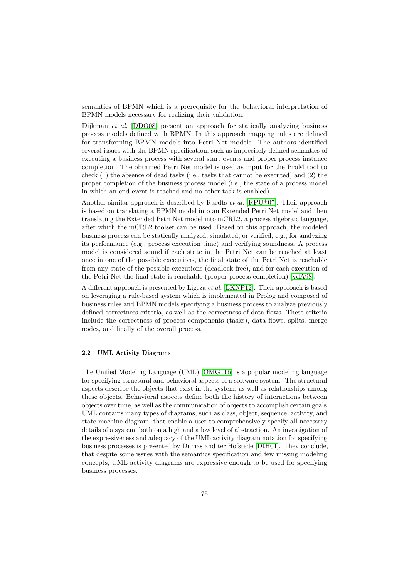semantics of BPMN which is a prerequisite for the behavioral interpretation of BPMN models necessary for realizing their validation.

Dijkman *et al.* [\[DDO08\]](#page-11-0) present an approach for statically analyzing business process models defined with BPMN. In this approach mapping rules are defined for transforming BPMN models into Petri Net models. The authors identified several issues with the BPMN specification, such as imprecisely defined semantics of executing a business process with several start events and proper process instance completion. The obtained Petri Net model is used as input for the ProM tool to check (1) the absence of dead tasks (i.e., tasks that cannot be executed) and (2) the proper completion of the business process model (i.e., the state of a process model in which an end event is reached and no other task is enabled).

Another similar approach is described by Raedts *et al.* [\[RPU](#page-12-4)<sup>+</sup>07]. Their approach is based on translating a BPMN model into an Extended Petri Net model and then translating the Extended Petri Net model into mCRL2, a process algebraic language, after which the mCRL2 toolset can be used. Based on this approach, the modeled business process can be statically analyzed, simulated, or verified, e.g., for analyzing its performance (e.g., process execution time) and verifying soundness. A process model is considered sound if each state in the Petri Net can be reached at least once in one of the possible executions, the final state of the Petri Net is reachable from any state of the possible executions (deadlock free), and for each execution of the Petri Net the final state is reachable (proper process completion) [\[vdA98\]](#page-12-5).

A different approach is presented by Ligeza *et al.* [\[LKNP12\]](#page-12-6). Their approach is based on leveraging a rule-based system which is implemented in Prolog and composed of business rules and BPMN models specifying a business process to analyze previously defined correctness criteria, as well as the correctness of data flows. These criteria include the correctness of process components (tasks), data flows, splits, merge nodes, and finally of the overall process.

#### 2.2 UML Activity Diagrams

The Unified Modeling Language (UML) [\[OMG11b\]](#page-12-2) is a popular modeling language for specifying structural and behavioral aspects of a software system. The structural aspects describe the objects that exist in the system, as well as relationships among these objects. Behavioral aspects define both the history of interactions between objects over time, as well as the communication of objects to accomplish certain goals. UML contains many types of diagrams, such as class, object, sequence, activity, and state machine diagram, that enable a user to comprehensively specify all necessary details of a system, both on a high and a low level of abstraction. An investigation of the expressiveness and adequacy of the UML activity diagram notation for specifying business processes is presented by Dumas and ter Hofstede [\[DtH01\]](#page-11-1). They conclude, that despite some issues with the semantics specification and few missing modeling concepts, UML activity diagrams are expressive enough to be used for specifying business processes.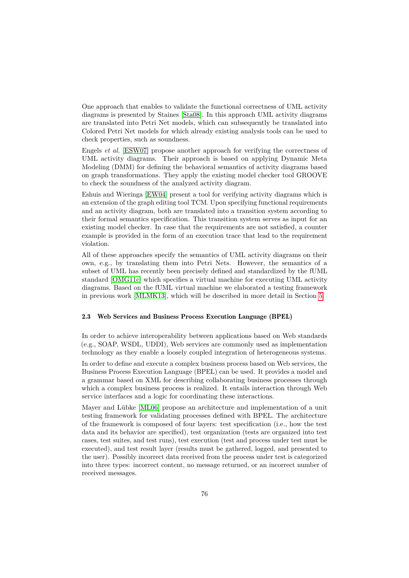One approach that enables to validate the functional correctness of UML activity diagrams is presented by Staines [\[Sta08\]](#page-12-7). In this approach UML activity diagrams are translated into Petri Net models, which can subsequently be translated into Colored Petri Net models for which already existing analysis tools can be used to check properties, such as soundness.

Engels *et al.* [\[ESW07\]](#page-11-2) propose another approach for verifying the correctness of UML activity diagrams. Their approach is based on applying Dynamic Meta Modeling (DMM) for defining the behavioral semantics of activity diagrams based on graph transformations. They apply the existing model checker tool GROOVE to check the soundness of the analyzed activity diagram.

Eshuis and Wieringa [\[EW04\]](#page-11-3) present a tool for verifying activity diagrams which is an extension of the graph editing tool TCM. Upon specifying functional requirements and an activity diagram, both are translated into a transition system according to their formal semantics specification. This transition system serves as input for an existing model checker. In case that the requirements are not satisfied, a counter example is provided in the form of an execution trace that lead to the requirement violation.

All of these approaches specify the semantics of UML activity diagrams on their own, e.g., by translating them into Petri Nets. However, the semantics of a subset of UML has recently been precisely defined and standardized by the fUML standard [\[OMG11c\]](#page-12-0) which specifies a virtual machine for executing UML activity diagrams. Based on the fUML virtual machine we elaborated a testing framework in previous work [\[MLMK13\]](#page-12-8), which will be described in more detail in Section [5.](#page-8-0)

#### 2.3 Web Services and Business Process Execution Language (BPEL)

In order to achieve interoperability between applications based on Web standards (e.g., SOAP, WSDL, UDDI), Web services are commonly used as implementation technology as they enable a loosely coupled integration of heterogeneous systems.

In order to define and execute a complex business process based on Web services, the Business Process Execution Language (BPEL) can be used. It provides a model and a grammar based on XML for describing collaborating business processes through which a complex business process is realized. It entails interaction through Web service interfaces and a logic for coordinating these interactions.

Mayer and Lübke [\[ML06\]](#page-12-9) propose an architecture and implementation of a unit testing framework for validating processes defined with BPEL. The architecture of the framework is composed of four layers: test specification (i.e., how the test data and its behavior are specified), test organization (tests are organized into test cases, test suites, and test runs), test execution (test and process under test must be executed), and test result layer (results must be gathered, logged, and presented to the user). Possibly incorrect data received from the process under test is categorized into three types: incorrect content, no message returned, or an incorrect number of received messages.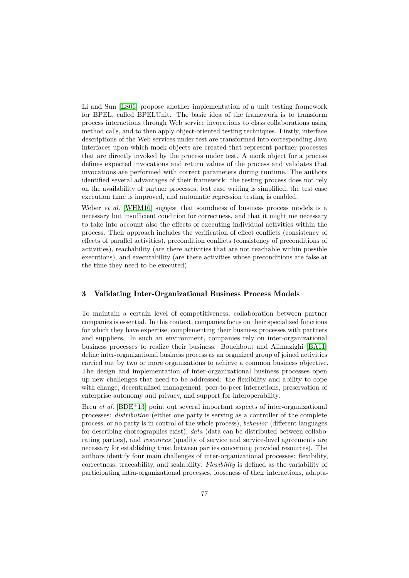Li and Sun [\[LS06\]](#page-12-10) propose another implementation of a unit testing framework for BPEL, called BPELUnit. The basic idea of the framework is to transform process interactions through Web service invocations to class collaborations using method calls, and to then apply object-oriented testing techniques. Firstly, interface descriptions of the Web services under test are transformed into corresponding Java interfaces upon which mock objects are created that represent partner processes that are directly invoked by the process under test. A mock object for a process defines expected invocations and return values of the process and validates that invocations are performed with correct parameters during runtime. The authors identified several advantages of their framework: the testing process does not rely on the availability of partner processes, test case writing is simplified, the test case execution time is improved, and automatic regression testing is enabled.

Weber *et al.* [\[WHM10\]](#page-12-11) suggest that soundness of business process models is a necessary but insufficient condition for correctness, and that it might me necessary to take into account also the effects of executing individual activities within the process. Their approach includes the verification of effect conflicts (consistency of effects of parallel activities), precondition conflicts (consistency of preconditions of activities), reachability (are there activities that are not reachable within possible executions), and executability (are there activities whose preconditions are false at the time they need to be executed).

## <span id="page-4-0"></span>3 Validating Inter-Organizational Business Process Models

To maintain a certain level of competitiveness, collaboration between partner companies is essential. In this context, companies focus on their specialized functions for which they have expertise, complementing their business processes with partners and suppliers. In such an environment, companies rely on inter-organizational business processes to realize their business. Bouchbout and Alimazighi [\[BA11\]](#page-11-4) define inter-organizational business process as an organized group of joined activities carried out by two or more organizations to achieve a common business objective. The design and implementation of inter-organizational business processes open up new challenges that need to be addressed: the flexibility and ability to cope with change, decentralized management, peer-to-peer interactions, preservation of enterprise autonomy and privacy, and support for interoperability.

Breu *et al.* [\[BDE](#page-11-5)<sup>+</sup>13] point out several important aspects of inter-organizational processes: *distribution* (either one party is serving as a controller of the complete process, or no party is in control of the whole process), *behavior* (different languages for describing choreographies exist), *data* (data can be distributed between collaborating parties), and *resources* (quality of service and service-level agreements are necessary for establishing trust between parties concerning provided resources). The authors identify four main challenges of inter-organizational processes: flexibility, correctness, traceability, and scalability. *Flexibility* is defined as the variability of participating intra-organizational processes, looseness of their interactions, adapta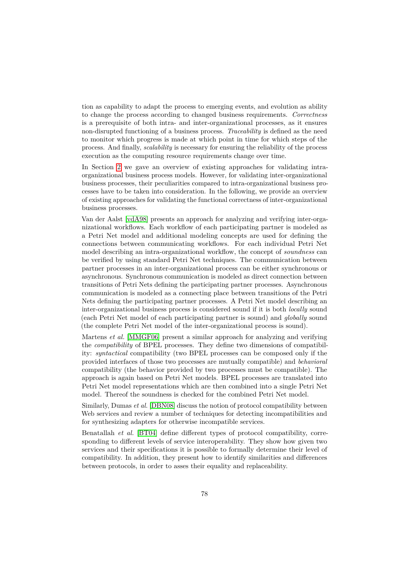tion as capability to adapt the process to emerging events, and evolution as ability to change the process according to changed business requirements. *Correctness* is a prerequisite of both intra- and inter-organizational processes, as it ensures non-disrupted functioning of a business process. *Traceability* is defined as the need to monitor which progress is made at which point in time for which steps of the process. And finally, *scalability* is necessary for ensuring the reliability of the process execution as the computing resource requirements change over time.

In Section [2](#page-1-0) we gave an overview of existing approaches for validating intraorganizational business process models. However, for validating inter-organizational business processes, their peculiarities compared to intra-organizational business processes have to be taken into consideration. In the following, we provide an overview of existing approaches for validating the functional correctness of inter-organizational business processes.

Van der Aalst [\[vdA98\]](#page-12-5) presents an approach for analyzing and verifying inter-organizational workflows. Each workflow of each participating partner is modeled as a Petri Net model and additional modeling concepts are used for defining the connections between communicating workflows. For each individual Petri Net model describing an intra-organizational workflow, the concept of *soundness* can be verified by using standard Petri Net techniques. The communication between partner processes in an inter-organizational process can be either synchronous or asynchronous. Synchronous communication is modeled as direct connection between transitions of Petri Nets defining the participating partner processes. Asynchronous communication is modeled as a connecting place between transitions of the Petri Nets defining the participating partner processes. A Petri Net model describing an inter-organizational business process is considered sound if it is both *locally* sound (each Petri Net model of each participating partner is sound) and *globally* sound (the complete Petri Net model of the inter-organizational process is sound).

Martens *et al.* [\[MMGF06\]](#page-12-12) present a similar approach for analyzing and verifying the *compatibility* of BPEL processes. They define two dimensions of compatibility: *syntactical* compatibility (two BPEL processes can be composed only if the provided interfaces of those two processes are mutually compatible) and *behavioral* compatibility (the behavior provided by two processes must be compatible). The approach is again based on Petri Net models. BPEL processes are translated into Petri Net model representations which are then combined into a single Petri Net model. Thereof the soundness is checked for the combined Petri Net model.

Similarly, Dumas *et al.* [\[DBN08\]](#page-11-6) discuss the notion of protocol compatibility between Web services and review a number of techniques for detecting incompatibilities and for synthesizing adapters for otherwise incompatible services.

Benatallah *et al.* [\[BT04\]](#page-11-7) define different types of protocol compatibility, corresponding to different levels of service interoperability. They show how given two services and their specifications it is possible to formally determine their level of compatibility. In addition, they present how to identify similarities and differences between protocols, in order to asses their equality and replaceability.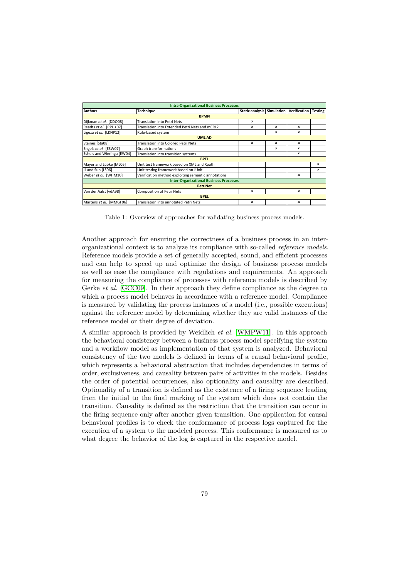| <b>Intra-Organizational Business Processes</b> |                                                     |                                   |   |                           |                |
|------------------------------------------------|-----------------------------------------------------|-----------------------------------|---|---------------------------|----------------|
| <b>Authors</b>                                 | <b>Technique</b>                                    | <b>Static analysis Simulation</b> |   | Verification              | <b>Testing</b> |
| <b>BPMN</b>                                    |                                                     |                                   |   |                           |                |
| Dijkman et al. [DDO08]                         | Translation into Petri Nets                         | $\pmb{\times}$                    |   |                           |                |
| Readts et al. [RPU+07]                         | Translation into Extended Petri Nets and mCRL2      | ×                                 | × | ×                         |                |
| Ligeza et al. [LKNP12]                         | Rule-based system                                   |                                   | × | ×                         |                |
| <b>UML AD</b>                                  |                                                     |                                   |   |                           |                |
| Staines [Sta08]                                | Translation into Colored Petri Nets                 | ×                                 | × | $\boldsymbol{\mathsf{x}}$ |                |
| Engels et al. [ESW07]                          | <b>Graph transformations</b>                        |                                   | × | ×                         |                |
| Eshuis and Wieringa [EW04]                     | Translation into transition systems                 |                                   |   | ×                         |                |
| <b>BPEL</b>                                    |                                                     |                                   |   |                           |                |
| Mayer and Lübke [ML06]                         | Unit test framework based on XML and Xpath          |                                   |   |                           | ×              |
| Li and Sun [LS06]                              | Unit testing framework based on JUnit               |                                   |   |                           | ×              |
| Weber et al. [WHM10]                           | Verification method exploiting semantic annotations |                                   |   | $\mathbf x$               |                |
| <b>Inter-Organizational Business Processes</b> |                                                     |                                   |   |                           |                |
| <b>PetriNet</b>                                |                                                     |                                   |   |                           |                |
| Van der Aalst [vdA98]                          | <b>Composition of Petri Nets</b>                    | ×                                 |   | ×                         |                |
| <b>BPEL</b>                                    |                                                     |                                   |   |                           |                |
| Martens et al. [MMGF06]                        | Translation into annotated Petri Nets               | ×                                 |   | $\boldsymbol{\mathsf{x}}$ |                |

<span id="page-6-0"></span>Table 1: Overview of approaches for validating business process models.

Another approach for ensuring the correctness of a business process in an interorganizational context is to analyze its compliance with so-called *reference models*. Reference models provide a set of generally accepted, sound, and efficient processes and can help to speed up and optimize the design of business process models as well as ease the compliance with regulations and requirements. An approach for measuring the compliance of processes with reference models is described by Gerke *et al.* [\[GCC09\]](#page-11-8). In their approach they define compliance as the degree to which a process model behaves in accordance with a reference model. Compliance is measured by validating the process instances of a model (i.e., possible executions) against the reference model by determining whether they are valid instances of the reference model or their degree of deviation.

A similar approach is provided by Weidlich *et al.* [\[WMPW11\]](#page-12-13). In this approach the behavioral consistency between a business process model specifying the system and a workflow model as implementation of that system is analyzed. Behavioral consistency of the two models is defined in terms of a causal behavioral profile, which represents a behavioral abstraction that includes dependencies in terms of order, exclusiveness, and causality between pairs of activities in the models. Besides the order of potential occurrences, also optionality and causality are described. Optionality of a transition is defined as the existence of a firing sequence leading from the initial to the final marking of the system which does not contain the transition. Causality is defined as the restriction that the transition can occur in the firing sequence only after another given transition. One application for causal behavioral profiles is to check the conformance of process logs captured for the execution of a system to the modeled process. This conformance is measured as to what degree the behavior of the log is captured in the respective model.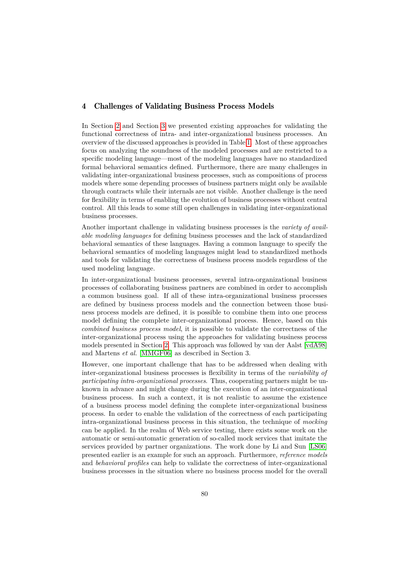#### <span id="page-7-0"></span>4 Challenges of Validating Business Process Models

In Section [2](#page-1-0) and Section [3](#page-4-0) we presented existing approaches for validating the functional correctness of intra- and inter-organizational business processes. An overview of the discussed approaches is provided in Table [1.](#page-6-0) Most of these approaches focus on analyzing the soundness of the modeled processes and are restricted to a specific modeling language—most of the modeling languages have no standardized formal behavioral semantics defined. Furthermore, there are many challenges in validating inter-organizational business processes, such as compositions of process models where some depending processes of business partners might only be available through contracts while their internals are not visible. Another challenge is the need for flexibility in terms of enabling the evolution of business processes without central control. All this leads to some still open challenges in validating inter-organizational business processes.

Another important challenge in validating business processes is the *variety of available modeling languages* for defining business processes and the lack of standardized behavioral semantics of these languages. Having a common language to specify the behavioral semantics of modeling languages might lead to standardized methods and tools for validating the correctness of business process models regardless of the used modeling language.

In inter-organizational business processes, several intra-organizational business processes of collaborating business partners are combined in order to accomplish a common business goal. If all of these intra-organizational business processes are defined by business process models and the connection between those business process models are defined, it is possible to combine them into one process model defining the complete inter-organizational process. Hence, based on this *combined business process model*, it is possible to validate the correctness of the inter-organizational process using the approaches for validating business process models presented in Section [2.](#page-1-0) This approach was followed by van der Aalst [\[vdA98\]](#page-12-5) and Martens *et al.* [\[MMGF06\]](#page-12-12) as described in Section 3.

However, one important challenge that has to be addressed when dealing with inter-organizational business processes is flexibility in terms of the *variability of participating intra-organizational processes*. Thus, cooperating partners might be unknown in advance and might change during the execution of an inter-organizational business process. In such a context, it is not realistic to assume the existence of a business process model defining the complete inter-organizational business process. In order to enable the validation of the correctness of each participating intra-organizational business process in this situation, the technique of *mocking* can be applied. In the realm of Web service testing, there exists some work on the automatic or semi-automatic generation of so-called mock services that imitate the services provided by partner organizations. The work done by Li and Sun [\[LS06\]](#page-12-10) presented earlier is an example for such an approach. Furthermore, *reference models* and *behavioral profiles* can help to validate the correctness of inter-organizational business processes in the situation where no business process model for the overall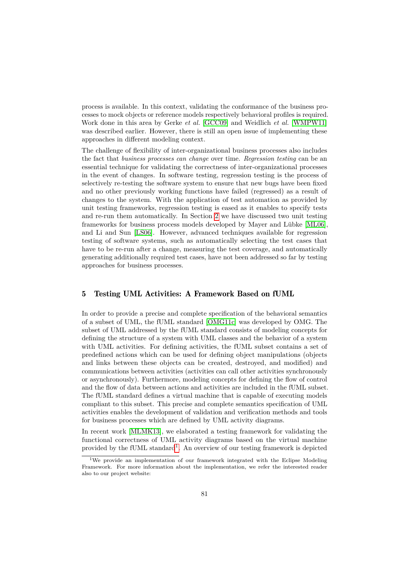process is available. In this context, validating the conformance of the business processes to mock objects or reference models respectively behavioral profiles is required. Work done in this area by Gerke *et al.* [\[GCC09\]](#page-11-8) and Weidlich *et al.* [\[WMPW11\]](#page-12-13) was described earlier. However, there is still an open issue of implementing these approaches in different modeling context.

The challenge of flexibility of inter-organizational business processes also includes the fact that *business processes can change* over time. *Regression testing* can be an essential technique for validating the correctness of inter-organizational processes in the event of changes. In software testing, regression testing is the process of selectively re-testing the software system to ensure that new bugs have been fixed and no other previously working functions have failed (regressed) as a result of changes to the system. With the application of test automation as provided by unit testing frameworks, regression testing is eased as it enables to specify tests and re-run them automatically. In Section [2](#page-1-0) we have discussed two unit testing frameworks for business process models developed by Mayer and Lübke [\[ML06\]](#page-12-9), and Li and Sun [\[LS06\]](#page-12-10). However, advanced techniques available for regression testing of software systems, such as automatically selecting the test cases that have to be re-run after a change, measuring the test coverage, and automatically generating additionally required test cases, have not been addressed so far by testing approaches for business processes.

# <span id="page-8-0"></span>5 Testing UML Activities: A Framework Based on fUML

In order to provide a precise and complete specification of the behavioral semantics of a subset of UML, the fUML standard [\[OMG11c\]](#page-12-0) was developed by OMG. The subset of UML addressed by the fUML standard consists of modeling concepts for defining the structure of a system with UML classes and the behavior of a system with UML activities. For defining activities, the fUML subset contains a set of predefined actions which can be used for defining object manipulations (objects and links between these objects can be created, destroyed, and modified) and communications between activities (activities can call other activities synchronously or asynchronously). Furthermore, modeling concepts for defining the flow of control and the flow of data between actions and activities are included in the fUML subset. The fUML standard defines a virtual machine that is capable of executing models compliant to this subset. This precise and complete semantics specification of UML activities enables the development of validation and verification methods and tools for business processes which are defined by UML activity diagrams.

In recent work [\[MLMK13\]](#page-12-8), we elaborated a testing framework for validating the functional correctness of UML activity diagrams based on the virtual machine provided by the fUML standard<sup>[1](#page-8-1)</sup>. An overview of our testing framework is depicted

<span id="page-8-1"></span><sup>&</sup>lt;sup>1</sup>We provide an implementation of our framework integrated with the Eclipse Modeling Framework. For more information about the implementation, we refer the interested reader also to our project website: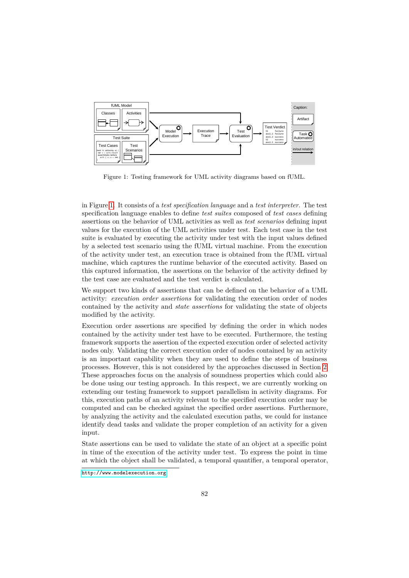

<span id="page-9-0"></span>Figure 1: Testing framework for UML activity diagrams based on fUML.

in Figure [1.](#page-9-0) It consists of a *test specification language* and a *test interpreter*. The test specification language enables to define *test suites* composed of *test cases* defining assertions on the behavior of UML activities as well as *test scenarios* defining input values for the execution of the UML activities under test. Each test case in the test suite is evaluated by executing the activity under test with the input values defined by a selected test scenario using the fUML virtual machine. From the execution of the activity under test, an execution trace is obtained from the fUML virtual machine, which captures the runtime behavior of the executed activity. Based on this captured information, the assertions on the behavior of the activity defined by the test case are evaluated and the test verdict is calculated.

We support two kinds of assertions that can be defined on the behavior of a UML activity: *execution order assertions* for validating the execution order of nodes contained by the activity and *state assertions* for validating the state of objects modified by the activity.

Execution order assertions are specified by defining the order in which nodes contained by the activity under test have to be executed. Furthermore, the testing framework supports the assertion of the expected execution order of selected activity nodes only. Validating the correct execution order of nodes contained by an activity is an important capability when they are used to define the steps of business processes. However, this is not considered by the approaches discussed in Section [2.](#page-1-0) These approaches focus on the analysis of soundness properties which could also be done using our testing approach. In this respect, we are currently working on extending our testing framework to support parallelism in activity diagrams. For this, execution paths of an activity relevant to the specified execution order may be computed and can be checked against the specified order assertions. Furthermore, by analyzing the activity and the calculated execution paths, we could for instance identify dead tasks and validate the proper completion of an activity for a given input.

State assertions can be used to validate the state of an object at a specific point in time of the execution of the activity under test. To express the point in time at which the object shall be validated, a temporal quantifier, a temporal operator,

<http://www.modelexecution.org>.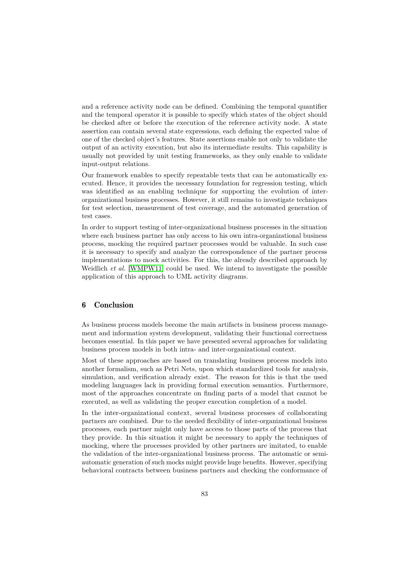and a reference activity node can be defined. Combining the temporal quantifier and the temporal operator it is possible to specify which states of the object should be checked after or before the execution of the reference activity node. A state assertion can contain several state expressions, each defining the expected value of one of the checked object's features. State assertions enable not only to validate the output of an activity execution, but also its intermediate results. This capability is usually not provided by unit testing frameworks, as they only enable to validate input-output relations.

Our framework enables to specify repeatable tests that can be automatically executed. Hence, it provides the necessary foundation for regression testing, which was identified as an enabling technique for supporting the evolution of interorganizational business processes. However, it still remains to investigate techniques for test selection, measurement of test coverage, and the automated generation of test cases.

In order to support testing of inter-organizational business processes in the situation where each business partner has only access to his own intra-organizational business process, mocking the required partner processes would be valuable. In such case it is necessary to specify and analyze the correspondence of the partner process implementations to mock activities. For this, the already described approach by Weidlich *et al.* [\[WMPW11\]](#page-12-13) could be used. We intend to investigate the possible application of this approach to UML activity diagrams.

# <span id="page-10-0"></span>6 Conclusion

As business process models become the main artifacts in business process management and information system development, validating their functional correctness becomes essential. In this paper we have presented several approaches for validating business process models in both intra- and inter-organizational context.

Most of these approaches are based on translating business process models into another formalism, such as Petri Nets, upon which standardized tools for analysis, simulation, and verification already exist. The reason for this is that the used modeling languages lack in providing formal execution semantics. Furthermore, most of the approaches concentrate on finding parts of a model that cannot be executed, as well as validating the proper execution completion of a model.

In the inter-organizational context, several business processes of collaborating partners are combined. Due to the needed flexibility of inter-organizational business processes, each partner might only have access to those parts of the process that they provide. In this situation it might be necessary to apply the techniques of mocking, where the processes provided by other partners are imitated, to enable the validation of the inter-organizational business process. The automatic or semiautomatic generation of such mocks might provide huge benefits. However, specifying behavioral contracts between business partners and checking the conformance of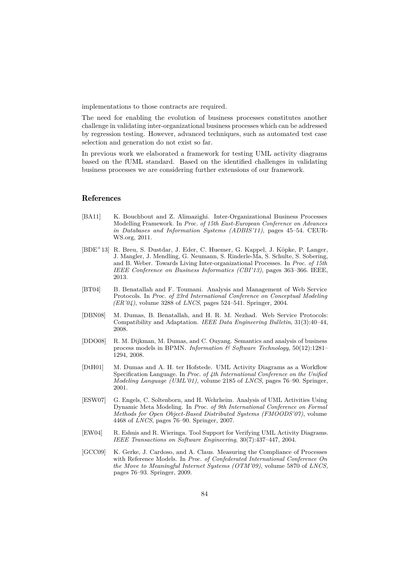implementations to those contracts are required.

The need for enabling the evolution of business processes constitutes another challenge in validating inter-organizational business processes which can be addressed by regression testing. However, advanced techniques, such as automated test case selection and generation do not exist so far.

In previous work we elaborated a framework for testing UML activity diagrams based on the fUML standard. Based on the identified challenges in validating business processes we are considering further extensions of our framework.

#### References

- <span id="page-11-4"></span>[BA11] K. Bouchbout and Z. Alimazighi. Inter-Organizational Business Processes Modelling Framework. In *Proc. of 15th East-European Conference on Advances in Databases and Information Systems (ADBIS'11)*, pages 45–54. CEUR-WS.org, 2011.
- <span id="page-11-5"></span>[BDE<sup>+</sup>13] R. Breu, S. Dustdar, J. Eder, C. Huemer, G. Kappel, J. Köpke, P. Langer, J. Mangler, J. Mendling, G. Neumann, S. Rinderle-Ma, S. Schulte, S. Sobering, and B. Weber. Towards Living Inter-organizational Processes. In *Proc. of 15th IEEE Conference on Business Informatics (CBI'13)*, pages 363–366. IEEE, 2013.
- <span id="page-11-7"></span>[BT04] B. Benatallah and F. Toumani. Analysis and Management of Web Service Protocols. In *Proc. of 23rd International Conference on Conceptual Modeling (ER'04)*, volume 3288 of *LNCS*, pages 524–541. Springer, 2004.
- <span id="page-11-6"></span>[DBN08] M. Dumas, B. Benatallah, and H. R. M. Nezhad. Web Service Protocols: Compatibility and Adaptation. *IEEE Data Engineering Bulletin*, 31(3):40–44, 2008.
- <span id="page-11-0"></span>[DDO08] R. M. Dijkman, M. Dumas, and C. Ouyang. Semantics and analysis of business process models in BPMN. *Information & Software Technology*, 50(12):1281– 1294, 2008.
- <span id="page-11-1"></span>[DtH01] M. Dumas and A. H. ter Hofstede. UML Activity Diagrams as a Workflow Specification Language. In *Proc. of 4th International Conference on the Unified Modeling Language (UML'01)*, volume 2185 of *LNCS*, pages 76–90. Springer, 2001.
- <span id="page-11-2"></span>[ESW07] G. Engels, C. Soltenborn, and H. Wehrheim. Analysis of UML Activities Using Dynamic Meta Modeling. In *Proc. of 9th International Conference on Formal Methods for Open Object-Based Distributed Systems (FMOODS'07)*, volume 4468 of *LNCS*, pages 76–90. Springer, 2007.
- <span id="page-11-3"></span>[EW04] R. Eshuis and R. Wieringa. Tool Support for Verifying UML Activity Diagrams. *IEEE Transactions on Software Engineering*, 30(7):437–447, 2004.
- <span id="page-11-8"></span>[GCC09] K. Gerke, J. Cardoso, and A. Claus. Measuring the Compliance of Processes with Reference Models. In *Proc. of Confederated International Conference On the Move to Meaningful Internet Systems (OTM'09)*, volume 5870 of *LNCS*, pages 76–93. Springer, 2009.